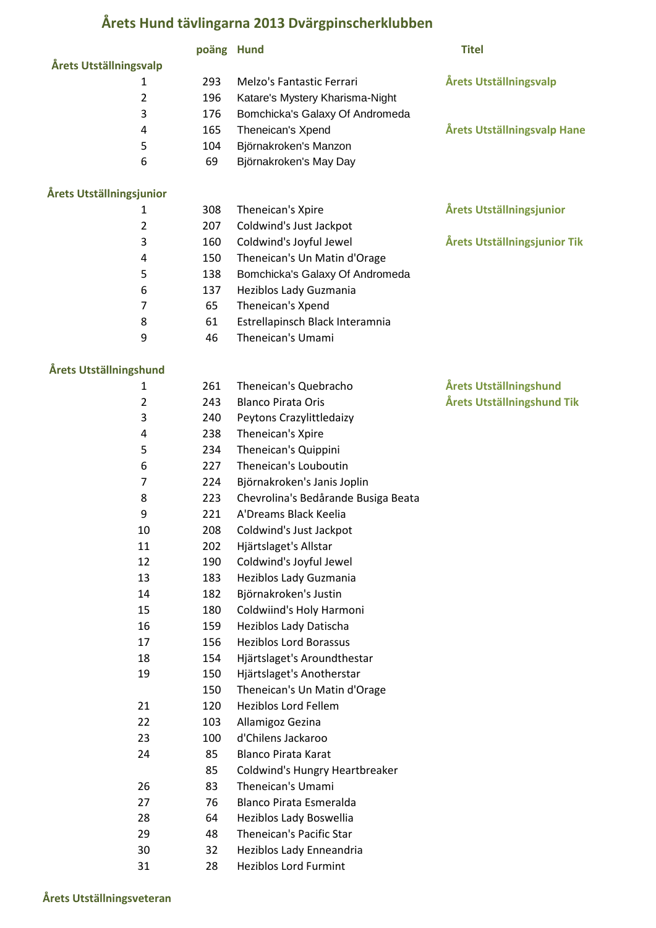## **Årets Hund tävlingarna 2013 Dvärgpinscherklubben**

|                               | poäng Hund |                                     | <b>Titel</b>                    |
|-------------------------------|------------|-------------------------------------|---------------------------------|
| <b>Årets Utställningsvalp</b> |            |                                     |                                 |
| 1                             | 293        | Melzo's Fantastic Ferrari           | <b>Årets Utställningsvalp</b>   |
| $\overline{2}$                | 196        | Katare's Mystery Kharisma-Night     |                                 |
| 3                             | 176        | Bomchicka's Galaxy Of Andromeda     |                                 |
| 4                             | 165        | Theneican's Xpend                   | Årets Utställningsvalp Hane     |
| 5                             | 104        | Björnakroken's Manzon               |                                 |
| 6                             | 69         | Björnakroken's May Day              |                                 |
|                               |            |                                     |                                 |
| Årets Utställningsjunior<br>1 | 308        | Theneican's Xpire                   | <b>Årets Utställningsjunior</b> |
| $\overline{2}$                | 207        | Coldwind's Just Jackpot             |                                 |
| 3                             | 160        | Coldwind's Joyful Jewel             | Årets Utställningsjunior Tik    |
| 4                             | 150        | Theneican's Un Matin d'Orage        |                                 |
| 5                             | 138        | Bomchicka's Galaxy Of Andromeda     |                                 |
| 6                             | 137        | Heziblos Lady Guzmania              |                                 |
| $\overline{7}$                | 65         | Theneican's Xpend                   |                                 |
| 8                             | 61         | Estrellapinsch Black Interamnia     |                                 |
| 9                             | 46         | Theneican's Umami                   |                                 |
|                               |            |                                     |                                 |
| Årets Utställningshund        |            |                                     |                                 |
| 1                             | 261        | Theneican's Quebracho               | Årets Utställningshund          |
| $\overline{2}$                | 243        | <b>Blanco Pirata Oris</b>           | Årets Utställningshund Tik      |
| 3                             | 240        | Peytons Crazylittledaizy            |                                 |
| 4                             | 238        | Theneican's Xpire                   |                                 |
| 5                             | 234        | Theneican's Quippini                |                                 |
| 6                             | 227        | Theneican's Louboutin               |                                 |
| 7                             | 224        | Björnakroken's Janis Joplin         |                                 |
| 8                             | 223        | Chevrolina's Bedårande Busiga Beata |                                 |
| 9                             | 221        | A'Dreams Black Keelia               |                                 |
| 10                            | 208        | Coldwind's Just Jackpot             |                                 |
| 11                            | 202        | Hjärtslaget's Allstar               |                                 |
| 12                            | 190        | Coldwind's Joyful Jewel             |                                 |
| 13                            | 183        | Heziblos Lady Guzmania              |                                 |
| 14                            | 182        | Björnakroken's Justin               |                                 |
| 15                            | 180        | Coldwiind's Holy Harmoni            |                                 |
| 16                            | 159        | Heziblos Lady Datischa              |                                 |
| 17                            | 156        | <b>Heziblos Lord Borassus</b>       |                                 |
| 18                            | 154        | Hjärtslaget's Aroundthestar         |                                 |
| 19                            | 150        | Hjärtslaget's Anotherstar           |                                 |
|                               | 150        | Theneican's Un Matin d'Orage        |                                 |
| 21                            | 120        | <b>Heziblos Lord Fellem</b>         |                                 |
| 22                            | 103        | Allamigoz Gezina                    |                                 |
| 23                            | 100        | d'Chilens Jackaroo                  |                                 |
| 24                            | 85         | <b>Blanco Pirata Karat</b>          |                                 |
|                               | 85         | Coldwind's Hungry Heartbreaker      |                                 |
| 26                            | 83         | Theneican's Umami                   |                                 |
| 27                            | 76         | <b>Blanco Pirata Esmeralda</b>      |                                 |
| 28                            | 64         | Heziblos Lady Boswellia             |                                 |
| 29                            | 48         | Theneican's Pacific Star            |                                 |
| 30                            | 32         | Heziblos Lady Enneandria            |                                 |
| 31                            | 28         | <b>Heziblos Lord Furmint</b>        |                                 |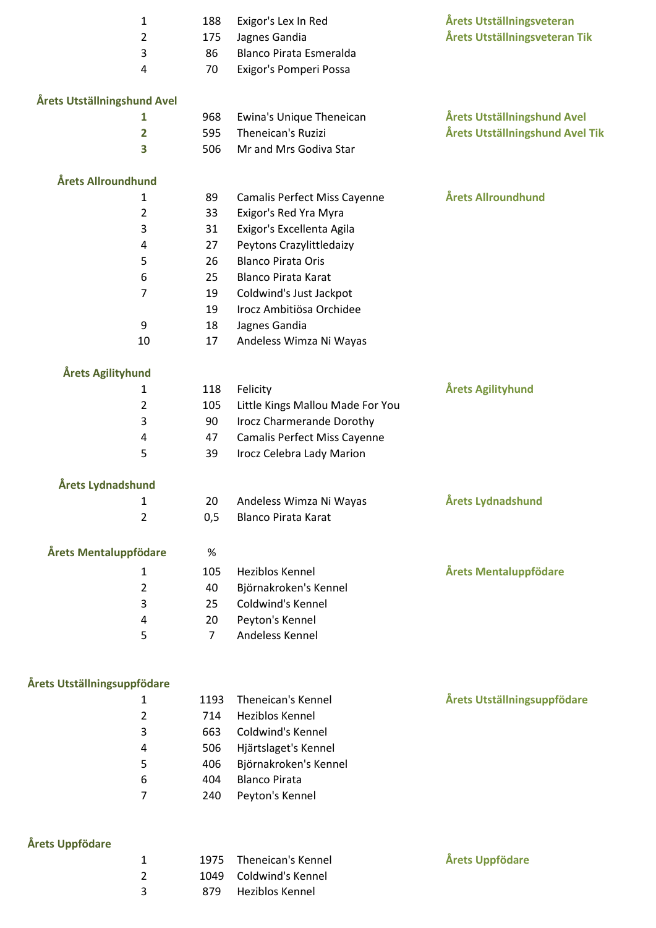|                             | $\mathbf{1}$<br>2       | 188<br>175   | Exigor's Lex In Red<br>Jagnes Gandia    | Årets Utställningsveteran<br>Årets Utställningsveteran Tik |
|-----------------------------|-------------------------|--------------|-----------------------------------------|------------------------------------------------------------|
|                             | 3                       | 86           | <b>Blanco Pirata Esmeralda</b>          |                                                            |
|                             | 4                       | 70           | Exigor's Pomperi Possa                  |                                                            |
|                             |                         |              |                                         |                                                            |
| Årets Utställningshund Avel |                         |              |                                         |                                                            |
|                             | 1                       | 968          | Ewina's Unique Theneican                | Årets Utställningshund Avel                                |
|                             | $\overline{\mathbf{2}}$ | 595          | Theneican's Ruzizi                      | Årets Utställningshund Avel Tik                            |
|                             | 3                       | 506          | Mr and Mrs Godiva Star                  |                                                            |
| Årets Allroundhund          |                         |              |                                         |                                                            |
|                             | 1                       | 89           | Camalis Perfect Miss Cayenne            | Årets Allroundhund                                         |
|                             | 2                       | 33           | Exigor's Red Yra Myra                   |                                                            |
|                             | 3                       | 31           | Exigor's Excellenta Agila               |                                                            |
|                             | 4                       | 27           | Peytons Crazylittledaizy                |                                                            |
|                             | 5                       | 26           | <b>Blanco Pirata Oris</b>               |                                                            |
|                             | 6                       | 25           | <b>Blanco Pirata Karat</b>              |                                                            |
|                             | 7                       | 19           | Coldwind's Just Jackpot                 |                                                            |
|                             |                         | 19           | Irocz Ambitiösa Orchidee                |                                                            |
|                             | 9                       | 18           | Jagnes Gandia                           |                                                            |
|                             | 10                      | 17           | Andeless Wimza Ni Wayas                 |                                                            |
| Årets Agilityhund           |                         |              |                                         |                                                            |
|                             | 1                       | 118          | Felicity                                | Årets Agilityhund                                          |
|                             | 2                       | 105          | Little Kings Mallou Made For You        |                                                            |
|                             | 3                       | 90           | Irocz Charmerande Dorothy               |                                                            |
|                             | 4                       | 47           | Camalis Perfect Miss Cayenne            |                                                            |
|                             | 5                       | 39           | Irocz Celebra Lady Marion               |                                                            |
| Årets Lydnadshund           |                         |              |                                         |                                                            |
|                             | 1                       | 20           | Andeless Wimza Ni Wayas                 | Årets Lydnadshund                                          |
|                             | 2                       | 0,5          | <b>Blanco Pirata Karat</b>              |                                                            |
|                             |                         |              |                                         |                                                            |
| Årets Mentaluppfödare       |                         | %            |                                         |                                                            |
|                             | 1                       | 105          | Heziblos Kennel                         | Årets Mentaluppfödare                                      |
|                             | $\overline{2}$          | 40           | Björnakroken's Kennel                   |                                                            |
|                             | 3                       | 25           | Coldwind's Kennel                       |                                                            |
|                             | 4                       | 20           | Peyton's Kennel                         |                                                            |
|                             | 5                       | $7^{\circ}$  | Andeless Kennel                         |                                                            |
|                             |                         |              |                                         |                                                            |
| Årets Utställningsuppfödare |                         |              |                                         |                                                            |
|                             | 1                       | 1193         | Theneican's Kennel                      | Årets Utställningsuppfödare                                |
|                             | $\overline{2}$          | 714          | Heziblos Kennel                         |                                                            |
|                             | 3                       | 663          | Coldwind's Kennel                       |                                                            |
|                             | 4                       | 506          | Hjärtslaget's Kennel                    |                                                            |
|                             | 5                       | 406          | Björnakroken's Kennel                   |                                                            |
|                             | 6                       | 404          | <b>Blanco Pirata</b>                    |                                                            |
|                             | 7                       | 240          | Peyton's Kennel                         |                                                            |
|                             |                         |              |                                         |                                                            |
| Årets Uppfödare             |                         |              |                                         |                                                            |
|                             | 1<br>$\overline{2}$     | 1975<br>1049 | Theneican's Kennel<br>Coldwind's Kennel | Årets Uppfödare                                            |
|                             | 3                       | 879          | Heziblos Kennel                         |                                                            |
|                             |                         |              |                                         |                                                            |